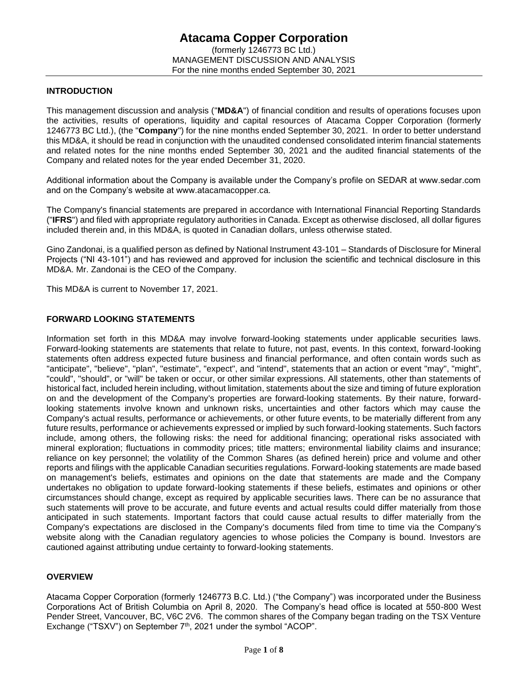### **INTRODUCTION**

This management discussion and analysis ("**MD&A**") of financial condition and results of operations focuses upon the activities, results of operations, liquidity and capital resources of Atacama Copper Corporation (formerly 1246773 BC Ltd.), (the "**Company**") for the nine months ended September 30, 2021. In order to better understand this MD&A, it should be read in conjunction with the unaudited condensed consolidated interim financial statements and related notes for the nine months ended September 30, 2021 and the audited financial statements of the Company and related notes for the year ended December 31, 2020.

Additional information about the Company is available under the Company's profile on SEDAR at www.sedar.com and on the Company's website at www.atacamacopper.ca.

The Company's financial statements are prepared in accordance with International Financial Reporting Standards ("**IFRS**") and filed with appropriate regulatory authorities in Canada. Except as otherwise disclosed, all dollar figures included therein and, in this MD&A, is quoted in Canadian dollars, unless otherwise stated.

Gino Zandonai, is a qualified person as defined by National Instrument 43-101 – Standards of Disclosure for Mineral Projects ("NI 43-101") and has reviewed and approved for inclusion the scientific and technical disclosure in this MD&A. Mr. Zandonai is the CEO of the Company.

This MD&A is current to November 17, 2021.

### **FORWARD LOOKING STATEMENTS**

Information set forth in this MD&A may involve forward-looking statements under applicable securities laws. Forward-looking statements are statements that relate to future, not past, events. In this context, forward-looking statements often address expected future business and financial performance, and often contain words such as "anticipate", "believe", "plan", "estimate", "expect", and "intend", statements that an action or event "may", "might", "could", "should", or "will" be taken or occur, or other similar expressions. All statements, other than statements of historical fact, included herein including, without limitation, statements about the size and timing of future exploration on and the development of the Company's properties are forward-looking statements. By their nature, forwardlooking statements involve known and unknown risks, uncertainties and other factors which may cause the Company's actual results, performance or achievements, or other future events, to be materially different from any future results, performance or achievements expressed or implied by such forward-looking statements. Such factors include, among others, the following risks: the need for additional financing; operational risks associated with mineral exploration; fluctuations in commodity prices; title matters; environmental liability claims and insurance; reliance on key personnel; the volatility of the Common Shares (as defined herein) price and volume and other reports and filings with the applicable Canadian securities regulations. Forward-looking statements are made based on management's beliefs, estimates and opinions on the date that statements are made and the Company undertakes no obligation to update forward-looking statements if these beliefs, estimates and opinions or other circumstances should change, except as required by applicable securities laws. There can be no assurance that such statements will prove to be accurate, and future events and actual results could differ materially from those anticipated in such statements. Important factors that could cause actual results to differ materially from the Company's expectations are disclosed in the Company's documents filed from time to time via the Company's website along with the Canadian regulatory agencies to whose policies the Company is bound. Investors are cautioned against attributing undue certainty to forward-looking statements.

### **OVERVIEW**

Atacama Copper Corporation (formerly 1246773 B.C. Ltd.) ("the Company") was incorporated under the Business Corporations Act of British Columbia on April 8, 2020. The Company's head office is located at 550-800 West Pender Street, Vancouver, BC, V6C 2V6. The common shares of the Company began trading on the TSX Venture Exchange ("TSXV") on September 7<sup>th</sup>, 2021 under the symbol "ACOP".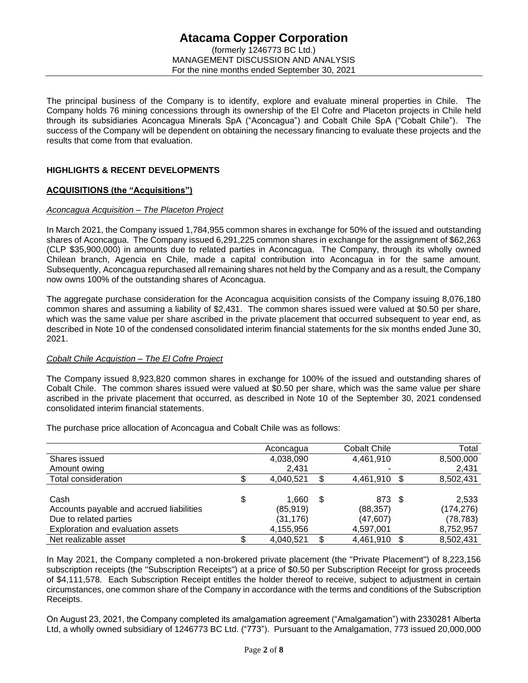The principal business of the Company is to identify, explore and evaluate mineral properties in Chile. The Company holds 76 mining concessions through its ownership of the El Cofre and Placeton projects in Chile held through its subsidiaries Aconcagua Minerals SpA ("Aconcagua") and Cobalt Chile SpA ("Cobalt Chile"). The success of the Company will be dependent on obtaining the necessary financing to evaluate these projects and the results that come from that evaluation.

# **HIGHLIGHTS & RECENT DEVELOPMENTS**

### **ACQUISITIONS (the "Acquisitions")**

### *Aconcagua Acquisition – The Placeton Project*

In March 2021, the Company issued 1,784,955 common shares in exchange for 50% of the issued and outstanding shares of Aconcagua. The Company issued 6,291,225 common shares in exchange for the assignment of \$62,263 (CLP \$35,900,000) in amounts due to related parties in Aconcagua. The Company, through its wholly owned Chilean branch, Agencia en Chile, made a capital contribution into Aconcagua in for the same amount. Subsequently, Aconcagua repurchased all remaining shares not held by the Company and as a result, the Company now owns 100% of the outstanding shares of Aconcagua.

The aggregate purchase consideration for the Aconcagua acquisition consists of the Company issuing 8,076,180 common shares and assuming a liability of \$2,431. The common shares issued were valued at \$0.50 per share, which was the same value per share ascribed in the private placement that occurred subsequent to year end, as described in Note 10 of the condensed consolidated interim financial statements for the six months ended June 30, 2021.

### *Cobalt Chile Acquistion – The El Cofre Project*

The Company issued 8,923,820 common shares in exchange for 100% of the issued and outstanding shares of Cobalt Chile. The common shares issued were valued at \$0.50 per share, which was the same value per share ascribed in the private placement that occurred, as described in Note 10 of the September 30, 2021 condensed consolidated interim financial statements.

The purchase price allocation of Aconcagua and Cobalt Chile was as follows:

|                                          | Aconcagua   |   | <b>Cobalt Chile</b> | Total      |
|------------------------------------------|-------------|---|---------------------|------------|
| Shares issued                            | 4,038,090   |   | 4,461,910           | 8,500,000  |
| Amount owing                             | 2,431       |   |                     | 2,431      |
| Total consideration                      | 4,040,521   |   | 4,461,910 \$        | 8,502,431  |
|                                          |             |   |                     |            |
| Cash                                     | \$<br>1,660 | S | 873 \$              | 2,533      |
| Accounts payable and accrued liabilities | (85, 919)   |   | (88, 357)           | (174, 276) |
| Due to related parties                   | (31, 176)   |   | (47, 607)           | (78, 783)  |
| Exploration and evaluation assets        | 4,155,956   |   | 4,597,001           | 8,752,957  |
| Net realizable asset                     | 4,040,521   |   | 4,461,910           | 8,502,431  |

In May 2021, the Company completed a non-brokered private placement (the "Private Placement") of 8,223,156 subscription receipts (the "Subscription Receipts") at a price of \$0.50 per Subscription Receipt for gross proceeds of \$4,111,578. Each Subscription Receipt entitles the holder thereof to receive, subject to adjustment in certain circumstances, one common share of the Company in accordance with the terms and conditions of the Subscription Receipts.

On August 23, 2021, the Company completed its amalgamation agreement ("Amalgamation") with 2330281 Alberta Ltd, a wholly owned subsidiary of 1246773 BC Ltd. ("773"). Pursuant to the Amalgamation, 773 issued 20,000,000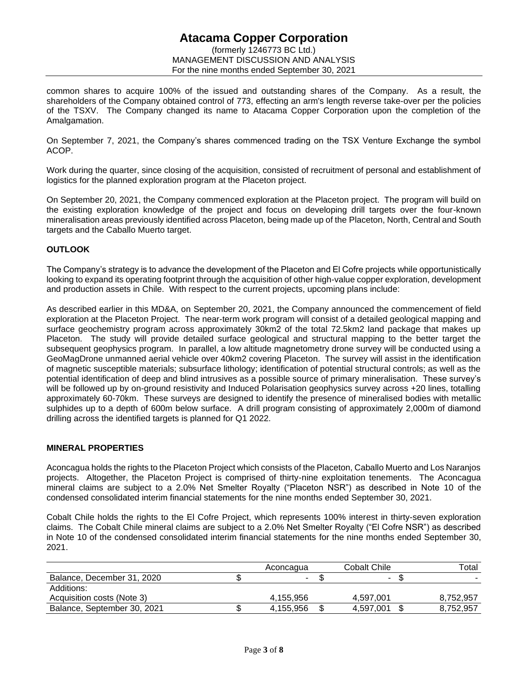# **Atacama Copper Corporation** (formerly 1246773 BC Ltd.) MANAGEMENT DISCUSSION AND ANALYSIS For the nine months ended September 30, 2021

common shares to acquire 100% of the issued and outstanding shares of the Company. As a result, the shareholders of the Company obtained control of 773, effecting an arm's length reverse take-over per the policies of the TSXV. The Company changed its name to Atacama Copper Corporation upon the completion of the Amalgamation.

On September 7, 2021, the Company's shares commenced trading on the TSX Venture Exchange the symbol ACOP.

Work during the quarter, since closing of the acquisition, consisted of recruitment of personal and establishment of logistics for the planned exploration program at the Placeton project.

On September 20, 2021, the Company commenced exploration at the Placeton project. The program will build on the existing exploration knowledge of the project and focus on developing drill targets over the four-known mineralisation areas previously identified across Placeton, being made up of the Placeton, North, Central and South targets and the Caballo Muerto target.

# **OUTLOOK**

The Company's strategy is to advance the development of the Placeton and El Cofre projects while opportunistically looking to expand its operating footprint through the acquisition of other high-value copper exploration, development and production assets in Chile. With respect to the current projects, upcoming plans include:

As described earlier in this MD&A, on September 20, 2021, the Company announced the commencement of field exploration at the Placeton Project. The near-term work program will consist of a detailed geological mapping and surface geochemistry program across approximately 30km2 of the total 72.5km2 land package that makes up Placeton. The study will provide detailed surface geological and structural mapping to the better target the subsequent geophysics program. In parallel, a low altitude magnetometry drone survey will be conducted using a GeoMagDrone unmanned aerial vehicle over 40km2 covering Placeton. The survey will assist in the identification of magnetic susceptible materials; subsurface lithology; identification of potential structural controls; as well as the potential identification of deep and blind intrusives as a possible source of primary mineralisation. These survey's will be followed up by on-ground resistivity and Induced Polarisation geophysics survey across +20 lines, totalling approximately 60-70km. These surveys are designed to identify the presence of mineralised bodies with metallic sulphides up to a depth of 600m below surface. A drill program consisting of approximately 2,000m of diamond drilling across the identified targets is planned for Q1 2022.

### **MINERAL PROPERTIES**

Aconcagua holds the rights to the Placeton Project which consists of the Placeton, Caballo Muerto and Los Naranjos projects. Altogether, the Placeton Project is comprised of thirty-nine exploitation tenements. The Aconcagua mineral claims are subject to a 2.0% Net Smelter Royalty ("Placeton NSR") as described in Note 10 of the condensed consolidated interim financial statements for the nine months ended September 30, 2021.

Cobalt Chile holds the rights to the El Cofre Project, which represents 100% interest in thirty-seven exploration claims. The Cobalt Chile mineral claims are subject to a 2.0% Net Smelter Royalty ("El Cofre NSR") as described in Note 10 of the condensed consolidated interim financial statements for the nine months ended September 30, 2021.

|                             | Aconcagua | Cobalt Chile | Total     |
|-----------------------------|-----------|--------------|-----------|
| Balance, December 31, 2020  |           | -            |           |
| Additions:                  |           |              |           |
| Acquisition costs (Note 3)  | 4.155.956 | 4.597.001    | 8,752,957 |
| Balance, September 30, 2021 | 4.155.956 | 4.597.001    | 8,752,957 |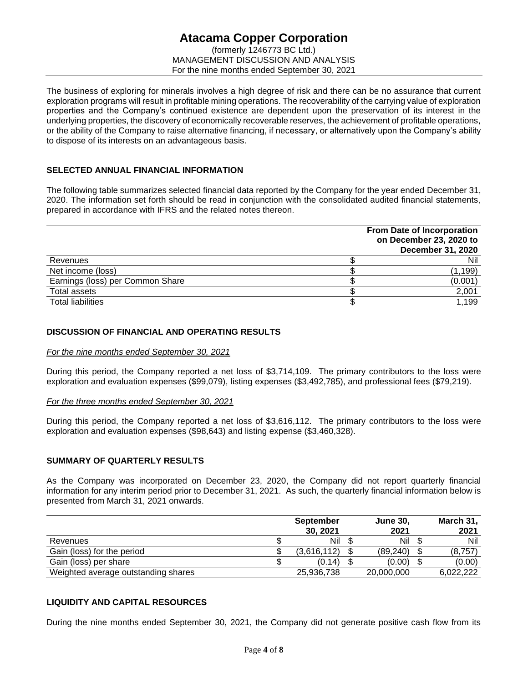# **Atacama Copper Corporation** (formerly 1246773 BC Ltd.) MANAGEMENT DISCUSSION AND ANALYSIS For the nine months ended September 30, 2021

The business of exploring for minerals involves a high degree of risk and there can be no assurance that current exploration programs will result in profitable mining operations. The recoverability of the carrying value of exploration properties and the Company's continued existence are dependent upon the preservation of its interest in the underlying properties, the discovery of economically recoverable reserves, the achievement of profitable operations, or the ability of the Company to raise alternative financing, if necessary, or alternatively upon the Company's ability to dispose of its interests on an advantageous basis.

# **SELECTED ANNUAL FINANCIAL INFORMATION**

The following table summarizes selected financial data reported by the Company for the year ended December 31, 2020. The information set forth should be read in conjunction with the consolidated audited financial statements, prepared in accordance with IFRS and the related notes thereon.

|                                  | From Date of Incorporation<br>on December 23, 2020 to<br><b>December 31, 2020</b> |
|----------------------------------|-----------------------------------------------------------------------------------|
| Revenues                         | Nil                                                                               |
| Net income (loss)                | (1, 199)                                                                          |
| Earnings (loss) per Common Share | (0.001)                                                                           |
| Total assets                     | 2,001                                                                             |
| <b>Total liabilities</b>         | 1,199                                                                             |

# **DISCUSSION OF FINANCIAL AND OPERATING RESULTS**

### *For the nine months ended September 30, 2021*

During this period, the Company reported a net loss of \$3,714,109. The primary contributors to the loss were exploration and evaluation expenses (\$99,079), listing expenses (\$3,492,785), and professional fees (\$79,219).

### *For the three months ended September 30, 2021*

During this period, the Company reported a net loss of \$3,616,112. The primary contributors to the loss were exploration and evaluation expenses (\$98,643) and listing expense (\$3,460,328).

### **SUMMARY OF QUARTERLY RESULTS**

As the Company was incorporated on December 23, 2020, the Company did not report quarterly financial information for any interim period prior to December 31, 2021. As such, the quarterly financial information below is presented from March 31, 2021 onwards.

|                                     | <b>September</b> |             |  | <b>June 30.</b> | March 31, |           |
|-------------------------------------|------------------|-------------|--|-----------------|-----------|-----------|
|                                     |                  | 30, 2021    |  | 2021            |           | 2021      |
| Revenues                            |                  | Nil         |  | Nil             |           | Nil       |
| Gain (loss) for the period          |                  | (3,616,112) |  | (89, 240)       |           | (8,757)   |
| Gain (loss) per share               |                  | (0.14)      |  | (0.00)          |           | (0.00)    |
| Weighted average outstanding shares |                  | 25,936,738  |  | 20,000,000      |           | 6.022.222 |

# **LIQUIDITY AND CAPITAL RESOURCES**

During the nine months ended September 30, 2021, the Company did not generate positive cash flow from its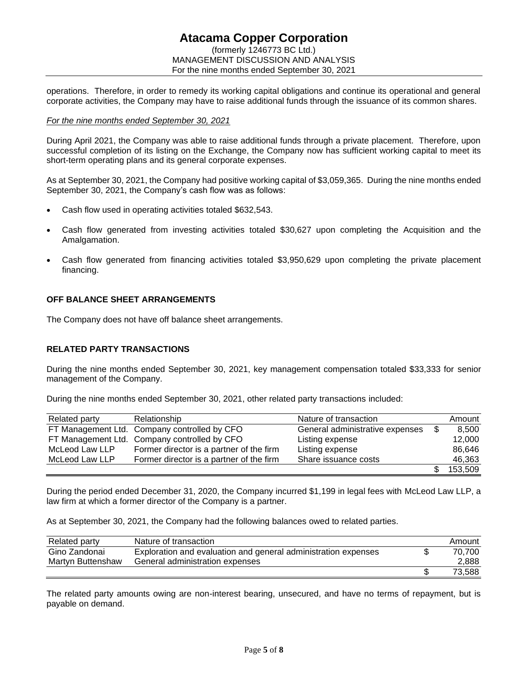# **Atacama Copper Corporation** (formerly 1246773 BC Ltd.) MANAGEMENT DISCUSSION AND ANALYSIS For the nine months ended September 30, 2021

operations. Therefore, in order to remedy its working capital obligations and continue its operational and general corporate activities, the Company may have to raise additional funds through the issuance of its common shares.

### *For the nine months ended September 30, 2021*

During April 2021, the Company was able to raise additional funds through a private placement. Therefore, upon successful completion of its listing on the Exchange, the Company now has sufficient working capital to meet its short-term operating plans and its general corporate expenses.

As at September 30, 2021, the Company had positive working capital of \$3,059,365. During the nine months ended September 30, 2021, the Company's cash flow was as follows:

- Cash flow used in operating activities totaled \$632,543.
- Cash flow generated from investing activities totaled \$30,627 upon completing the Acquisition and the Amalgamation.
- Cash flow generated from financing activities totaled \$3,950,629 upon completing the private placement financing.

### **OFF BALANCE SHEET ARRANGEMENTS**

The Company does not have off balance sheet arrangements.

### **RELATED PARTY TRANSACTIONS**

During the nine months ended September 30, 2021, key management compensation totaled \$33,333 for senior management of the Company.

During the nine months ended September 30, 2021, other related party transactions included:

| Related party  | Relationship                                 | Nature of transaction           | Amount  |
|----------------|----------------------------------------------|---------------------------------|---------|
|                | FT Management Ltd. Company controlled by CFO | General administrative expenses | 8.500   |
|                | FT Management Ltd. Company controlled by CFO | Listing expense                 | 12.000  |
| McLeod Law LLP | Former director is a partner of the firm     | Listing expense                 | 86.646  |
| McLeod Law LLP | Former director is a partner of the firm     | Share issuance costs            | 46,363  |
|                |                                              |                                 | 153,509 |

During the period ended December 31, 2020, the Company incurred \$1,199 in legal fees with McLeod Law LLP, a law firm at which a former director of the Company is a partner.

As at September 30, 2021, the Company had the following balances owed to related parties.

| Related party     | Nature of transaction                                          | Amount |
|-------------------|----------------------------------------------------------------|--------|
| Gino Zandonai     | Exploration and evaluation and general administration expenses | 70.700 |
| Martyn Buttenshaw | General administration expenses                                | 2,888  |
|                   |                                                                | 73.588 |

The related party amounts owing are non-interest bearing, unsecured, and have no terms of repayment, but is payable on demand.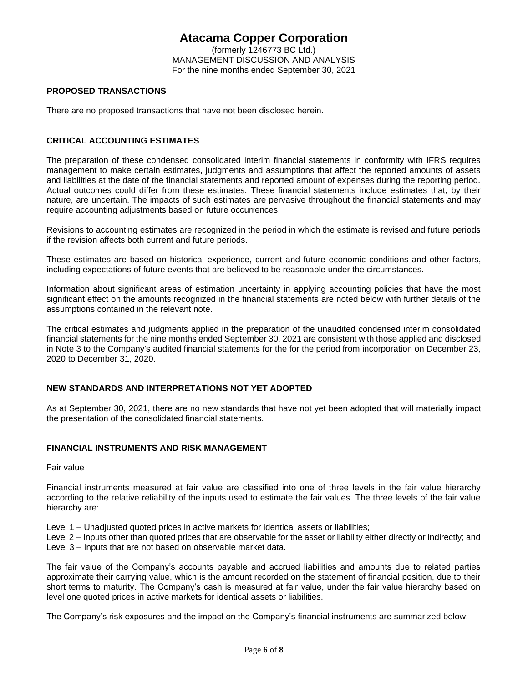#### **PROPOSED TRANSACTIONS**

There are no proposed transactions that have not been disclosed herein.

### **CRITICAL ACCOUNTING ESTIMATES**

The preparation of these condensed consolidated interim financial statements in conformity with IFRS requires management to make certain estimates, judgments and assumptions that affect the reported amounts of assets and liabilities at the date of the financial statements and reported amount of expenses during the reporting period. Actual outcomes could differ from these estimates. These financial statements include estimates that, by their nature, are uncertain. The impacts of such estimates are pervasive throughout the financial statements and may require accounting adjustments based on future occurrences.

Revisions to accounting estimates are recognized in the period in which the estimate is revised and future periods if the revision affects both current and future periods.

These estimates are based on historical experience, current and future economic conditions and other factors, including expectations of future events that are believed to be reasonable under the circumstances.

Information about significant areas of estimation uncertainty in applying accounting policies that have the most significant effect on the amounts recognized in the financial statements are noted below with further details of the assumptions contained in the relevant note.

The critical estimates and judgments applied in the preparation of the unaudited condensed interim consolidated financial statements for the nine months ended September 30, 2021 are consistent with those applied and disclosed in Note 3 to the Company's audited financial statements for the for the period from incorporation on December 23, 2020 to December 31, 2020.

### **NEW STANDARDS AND INTERPRETATIONS NOT YET ADOPTED**

As at September 30, 2021, there are no new standards that have not yet been adopted that will materially impact the presentation of the consolidated financial statements.

### **FINANCIAL INSTRUMENTS AND RISK MANAGEMENT**

Fair value

Financial instruments measured at fair value are classified into one of three levels in the fair value hierarchy according to the relative reliability of the inputs used to estimate the fair values. The three levels of the fair value hierarchy are:

Level 1 – Unadjusted quoted prices in active markets for identical assets or liabilities;

Level 2 – Inputs other than quoted prices that are observable for the asset or liability either directly or indirectly; and Level 3 – Inputs that are not based on observable market data.

The fair value of the Company's accounts payable and accrued liabilities and amounts due to related parties approximate their carrying value, which is the amount recorded on the statement of financial position, due to their short terms to maturity. The Company's cash is measured at fair value, under the fair value hierarchy based on level one quoted prices in active markets for identical assets or liabilities.

The Company's risk exposures and the impact on the Company's financial instruments are summarized below: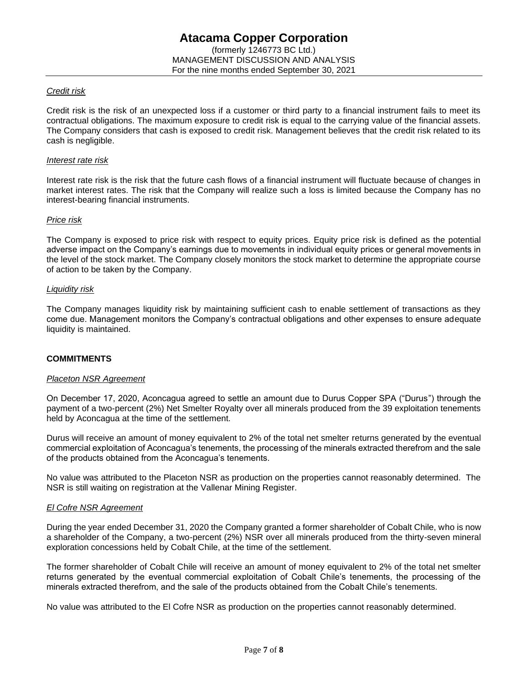### *Credit risk*

Credit risk is the risk of an unexpected loss if a customer or third party to a financial instrument fails to meet its contractual obligations. The maximum exposure to credit risk is equal to the carrying value of the financial assets. The Company considers that cash is exposed to credit risk. Management believes that the credit risk related to its cash is negligible.

#### *Interest rate risk*

Interest rate risk is the risk that the future cash flows of a financial instrument will fluctuate because of changes in market interest rates. The risk that the Company will realize such a loss is limited because the Company has no interest-bearing financial instruments.

### *Price risk*

The Company is exposed to price risk with respect to equity prices. Equity price risk is defined as the potential adverse impact on the Company's earnings due to movements in individual equity prices or general movements in the level of the stock market. The Company closely monitors the stock market to determine the appropriate course of action to be taken by the Company.

#### *Liquidity risk*

The Company manages liquidity risk by maintaining sufficient cash to enable settlement of transactions as they come due. Management monitors the Company's contractual obligations and other expenses to ensure adequate liquidity is maintained.

### **COMMITMENTS**

#### *Placeton NSR Agreement*

On December 17, 2020, Aconcagua agreed to settle an amount due to Durus Copper SPA ("Durus") through the payment of a two-percent (2%) Net Smelter Royalty over all minerals produced from the 39 exploitation tenements held by Aconcagua at the time of the settlement.

Durus will receive an amount of money equivalent to 2% of the total net smelter returns generated by the eventual commercial exploitation of Aconcagua's tenements, the processing of the minerals extracted therefrom and the sale of the products obtained from the Aconcagua's tenements.

No value was attributed to the Placeton NSR as production on the properties cannot reasonably determined. The NSR is still waiting on registration at the Vallenar Mining Register.

#### *El Cofre NSR Agreement*

During the year ended December 31, 2020 the Company granted a former shareholder of Cobalt Chile, who is now a shareholder of the Company, a two-percent (2%) NSR over all minerals produced from the thirty-seven mineral exploration concessions held by Cobalt Chile, at the time of the settlement.

The former shareholder of Cobalt Chile will receive an amount of money equivalent to 2% of the total net smelter returns generated by the eventual commercial exploitation of Cobalt Chile's tenements, the processing of the minerals extracted therefrom, and the sale of the products obtained from the Cobalt Chile's tenements.

No value was attributed to the El Cofre NSR as production on the properties cannot reasonably determined.